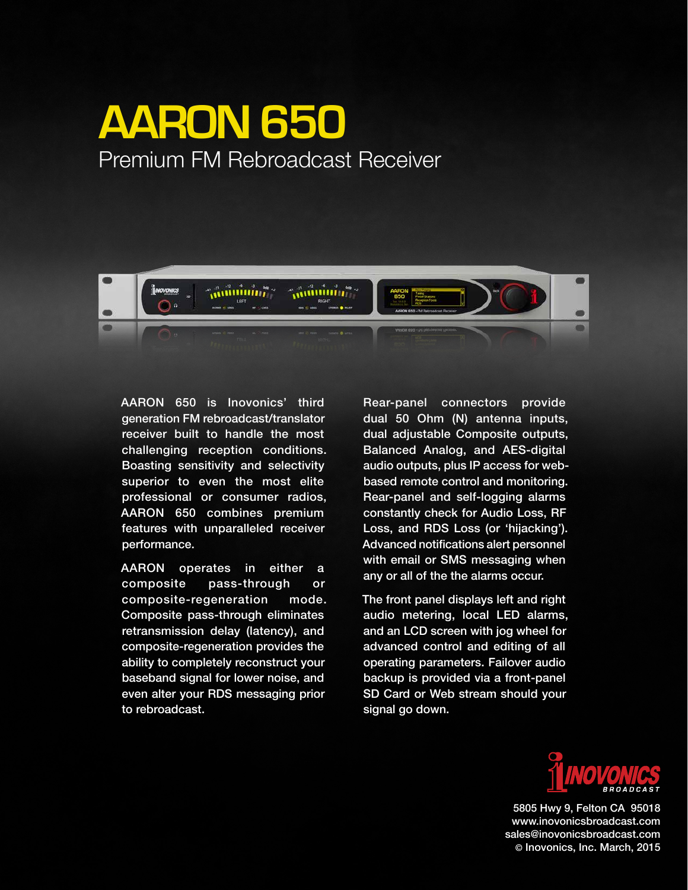# **AARON 650** Premium FM Rebroadcast Receiver



AARON 650 is Inovonics' third generation FM rebroadcast/translator receiver built to handle the most challenging reception conditions. Boasting sensitivity and selectivity superior to even the most elite professional or consumer radios, AARON 650 combines premium features with unparalleled receiver performance.

AARON operates in either a composite pass-through or composite-regeneration mode. Composite pass-through eliminates retransmission delay (latency), and composite-regeneration provides the ability to completely reconstruct your baseband signal for lower noise, and even alter your RDS messaging prior to rebroadcast.

Rear-panel connectors provide dual 50 Ohm (N) antenna inputs, dual adjustable Composite outputs, Balanced Analog, and AES-digital audio outputs, plus IP access for webbased remote control and monitoring. Rear-panel and self-logging alarms constantly check for Audio Loss, RF Loss, and RDS Loss (or 'hijacking'). Advanced notifications alert personnel with email or SMS messaging when any or all of the the alarms occur.

The front panel displays left and right audio metering, local LED alarms, and an LCD screen with jog wheel for advanced control and editing of all operating parameters. Failover audio backup is provided via a front-panel SD Card or Web stream should your signal go down.



5805 Hwy 9, Felton CA 95018 www.inovonicsbroadcast.com sales@inovonicsbroadcast.com © Inovonics, Inc. March, 2015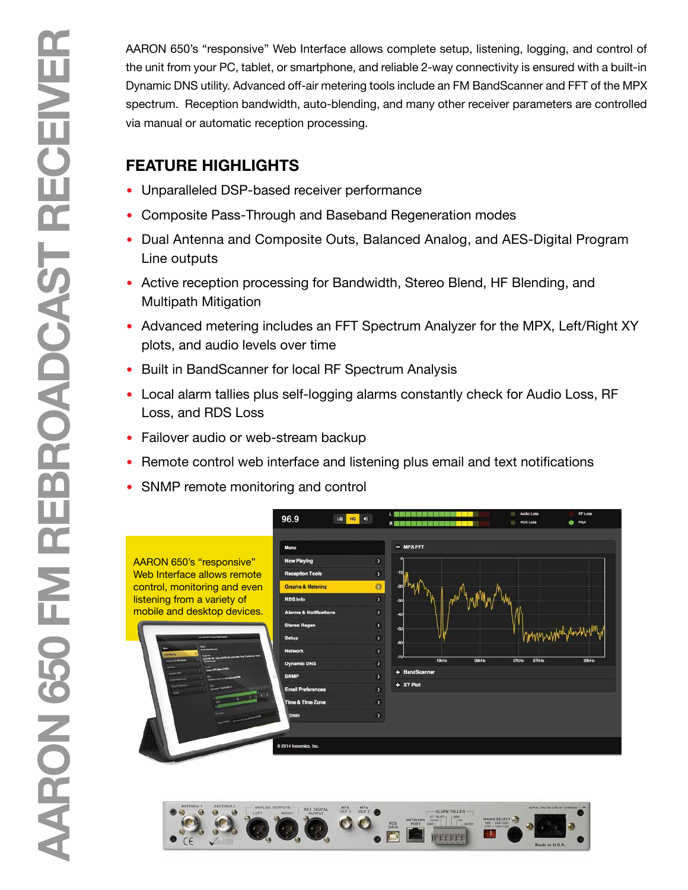AARON 650's "responsive" Web Interface allows complete setup, listening, logging, and control of the unit from your PC, tablet, or smartphone, and reliable 2-way connectivity is ensured with a built-in Dynamic DNS utility. Advanced off-air metering tools include an FM BandScanner and FFT of the MPX spectrum. Reception bandwidth, auto-blending, and many other receiver parameters are controlled via manual or automatic reception processing.

# **FEATURE HIGHLIGHTS**

- Unparalleled DSP-based receiver performance
- Composite Pass-Through and Baseband Regeneration modes
- Dual Antenna and Composite Outs, Balanced Analog, and AES-Digital Program Line outputs
- Active reception processing for Bandwidth, Stereo Blend, HF Blending, and Multipath Mitigation
- Advanced metering includes an FFT Spectrum Analyzer for the MPX, Left/Right XY plots, and audio levels over time
- Built in BandScanner for local RF Spectrum Analysis
- Local alarm tallies plus self-logging alarms constantly check for Audio Loss, RF Loss, and RDS Loss
- Failover audio or web-stream backup
- Remote control web interface and listening plus email and text notifications
- SNMP remote monitoring and control